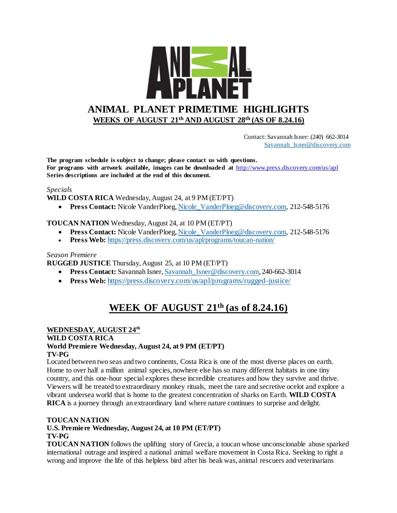

 Contact: Savannah Isner: (240) 662-3014 [Savannah\\_Isner@discovery.com](mailto:Savannah_Isner@discovery.com)

**The program schedule is subject to change; please contact us with questions. For programs with artwork available, images can be downloaded at** http://www.press.discovery.com/us/apl **Series descriptions are included at the end of this document.** 

#### *Specials*

**WILD COSTA RICA** Wednesday, August 24, at 9 PM (ET/PT)

**Press Contact:** Nicole VanderPloeg[, Nicole\\_VanderPloeg@discovery.com,](mailto:Nicole_VanderPloeg@discovery.com) 212-548-5176

#### **TOUCAN NATION** Wednesday, August 24, at 10 PM (ET/PT)

- **Press Contact:** Nicole VanderPloeg, Nicole VanderPloeg@discovery.com, 212-548-5176
- **Press Web:** <https://press.discovery.com/us/apl/programs/toucan-nation/>

#### *Season Premiere*

**RUGGED JUSTICE** Thursday, August 25, at 10 PM (ET/PT)

- **Press Contact:** Savannah Isner[, Savannah\\_Isner@discovery.com,](mailto:Savannah_Isner@discovery.com) 240-662-3014
- Press Web: <https://press.discovery.com/us/apl/programs/rugged-justice/>

# **WEEK OF AUGUST 21th (as of 8.24.16)**

#### **WEDNESDAY, AUGUST 24th**

#### **WILD COSTA RICA**

#### **World Premiere Wednesday, August 24, at 9 PM (ET/PT) TV-PG**

Located between two seas and two continents, Costa Rica is one of the most diverse places on earth. Home to over half a million animal species, nowhere else has so many different habitats in one tiny country, and this one-hour special explores these incredible creatures and how they survive and thrive. Viewers will be treated to extraordinary monkey rituals, meet the rare and secretive ocelot and explore a vibrant undersea world that is home to the greatest concentration of sharks on Earth. **WILD COSTA RICA** is a journey through an extraordinary land where nature continues to surprise and delight.

## **TOUCAN NATION U.S. Premiere Wednesday, August 24, at 10 PM (ET/PT)**

#### **TV-PG**

**TOUCAN NATION** follows the uplifting story of Grecia, a toucan whose unconscionable abuse sparked international outrage and inspired a national animal welfare movement in Costa Rica. Seeking to right a wrong and improve the life of this helpless bird after his beak was, animal rescuers and veterinarians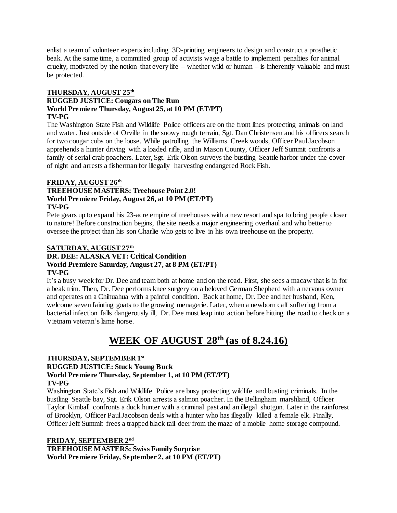enlist a team of volunteer experts including 3D-printing engineers to design and construct a prosthetic beak. At the same time, a committed group of activists wage a battle to implement penalties for animal cruelty, motivated by the notion that every life – whether wild or human – is inherently valuable and must be protected.

## **THURSDAY, AUGUST 25th**

#### **RUGGED JUSTICE: Cougars on The Run World Premiere Thursday, August 25, at 10 PM (ET/PT) TV-PG**

The Washington State Fish and Wildlife Police officers are on the front lines protecting animals on land and water. Just outside of Orville in the snowy rough terrain, Sgt. Dan Christensen and his officers search for two cougar cubs on the loose. While patrolling the Williams Creek woods, Officer Paul Jacobson apprehends a hunter driving with a loaded rifle, and in Mason County, Officer Jeff Summit confronts a family of serial crab poachers. Later, Sgt. Erik Olson surveys the bustling Seattle harbor under the cover of night and arrests a fisherman for illegally harvesting endangered Rock Fish.

## **FRIDAY, AUGUST 26th**

#### **TREEHOUSE MASTERS: Treehouse Point 2.0! World Premiere Friday, August 26, at 10 PM (ET/PT) TV-PG**

Pete gears up to expand his 23-acre empire of treehouses with a new resort and spa to bring people closer to nature! Before construction begins, the site needs a major engineering overhaul and who better to oversee the project than his son Charlie who gets to live in his own treehouse on the property.

#### **SATURDAY, AUGUST 27th DR. DEE: ALASKA VET: Critical Condition World Premiere Saturday, August 27, at 8 PM (ET/PT) TV-PG**

It's a busy week for Dr. Dee and team both at home and on the road. First, she sees a macaw that is in for a beak trim. Then, Dr. Dee performs knee surgery on a beloved German Shepherd with a nervous owner and operates on a Chihuahua with a painful condition. Back at home, Dr. Dee and her husband, Ken, welcome seven fainting goats to the growing menagerie. Later, when a newborn calf suffering from a bacterial infection falls dangerously ill, Dr. Dee must leap into action before hitting the road to check on a Vietnam veteran's lame horse.

# **WEEK OF AUGUST 28 th (as of 8.24.16)**

## **THURSDAY, SEPTEMBER 1st**

## **RUGGED JUSTICE: Stuck Young Buck**

# **World Premiere Thursday, September 1, at 10 PM (ET/PT)**

#### **TV-PG**

Washington State's Fish and Wildlife Police are busy protecting wildlife and busting criminals. In the bustling Seattle bay, Sgt. Erik Olson arrests a salmon poacher. In the Bellingham marshland, Officer Taylor Kimball confronts a duck hunter with a criminal past and an illegal shotgun. Later in the rainforest of Brooklyn, Officer Paul Jacobson deals with a hunter who has illegally killed a female elk. Finally, Officer Jeff Summit frees a trapped black tail deer from the maze of a mobile home storage compound.

## **FRIDAY, SEPTEMBER 2nd**

**TREEHOUSE MASTERS: Swiss Family Surprise World Premiere Friday, September 2, at 10 PM (ET/PT)**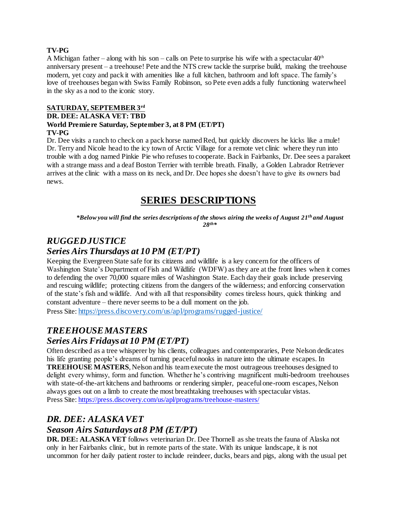#### **TV-PG**

A Michigan father – along with his son – calls on Pete to surprise his wife with a spectacular  $40<sup>th</sup>$ anniversary present – a treehouse! Pete and the NTS crew tackle the surprise build, making the treehouse modern, yet cozy and pack it with amenities like a full kitchen, bathroom and loft space. The family's love of treehouses began with Swiss Family Robinson, so Pete even adds a fully functioning waterwheel in the sky as a nod to the iconic story.

## **SATURDAY, SEPTEMBER 3rd**

#### **DR. DEE: ALASKA VET: TBD**

#### **World Premiere Saturday, September 3, at 8 PM (ET/PT) TV-PG**

Dr. Dee visits a ranch to check on a pack horse named Red, but quickly discovers he kicks like a mule! Dr. Terry and Nicole head to the icy town of Arctic Village for a remote vet clinic where they run into trouble with a dog named Pinkie Pie who refuses to cooperate. Back in Fairbanks, Dr. Dee sees a parakeet with a strange mass and a deaf Boston Terrier with terrible breath. Finally, a Golden Labrador Retriever arrives at the clinic with a mass on its neck, and Dr. Dee hopes she doesn't have to give its owners bad news.

# **SERIES DESCRIPTIONS**

*\*Below you will find the series descriptions of the shows airing the weeks of August 21th and August 28th\**

# *RUGGED JUSTICE*

## *Series Airs Thursdays at 10 PM (ET/PT)*

Keeping the Evergreen State safe for its citizens and wildlife is a key concern for the officers of Washington State's Department of Fish and Wildlife (WDFW) as they are at the front lines when it comes to defending the over 70,000 square miles of Washington State. Each day their goals include preserving and rescuing wildlife; protecting citizens from the dangers of the wilderness; and enforcing conservation of the state's fish and wildlife. And with all that responsibility comes tireless hours, quick thinking and constant adventure – there never seems to be a dull moment on the job.

Press Site: <https://press.discovery.com/us/apl/programs/rugged-justice/>

# *TREEHOUSE MASTERS Series Airs Fridays at 10 PM (ET/PT)*

Often described as a tree whisperer by his clients, colleagues and contemporaries, Pete Nelson dedicates his life granting people's dreams of turning peaceful nooks in nature into the ultimate escapes. In **TREEHOUSE MASTERS**, Nelson and his team execute the most outrageous treehouses designed to delight every whimsy, form and function. Whether he's contriving magnificent multi-bedroom treehouses with state-of-the-art kitchens and bathrooms or rendering simpler, peaceful one-room escapes, Nelson always goes out on a limb to create the most breathtaking treehouses with spectacular vistas. Press Site:<https://press.discovery.com/us/apl/programs/treehouse-masters/>

## *DR. DEE: ALASKA VET*

# *Season Airs Saturdays at 8 PM (ET/PT)*

**DR. DEE: ALASKA VET** follows veterinarian Dr. Dee Thornell as she treats the fauna of Alaska not only in her Fairbanks clinic, but in remote parts of the state. With its unique landscape, it is not uncommon for her daily patient roster to include reindeer, ducks, bears and pigs, along with the usual pet